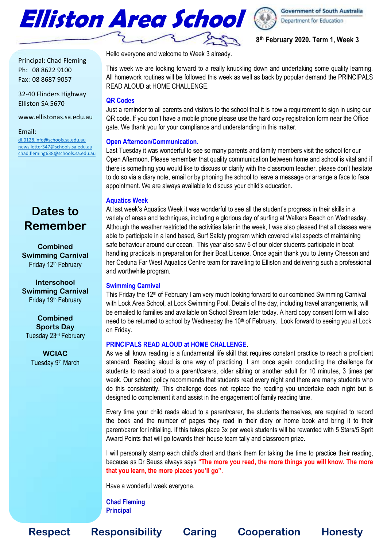



## **8 th February 2020. Term 1, Week 3**

Principal: Chad Fleming Ph: 08 8622 9100 Fax: 08 8687 9057

32-40 Flinders Highway Elliston SA 5670

www.ellistonas.sa.edu.au

Email:

[dl.0128.info@schools.sa.edu.au](mailto:dl.0128.info@schools.sa.edu.au) [news.letter347@schools.sa.edu.au](mailto:news.letter347@schools.sa.edu.au) [chad.fleming638@schools.sa.edu.au](mailto:chad.fleming638@schools.sa.edu.au)

# **Dates to Remember**

**Combined Swimming Carnival** Friday 12<sup>th</sup> February

**Interschool Swimming Carnival** Friday 19<sup>th</sup> February

**Combined Sports Day** Tuesday 23rd February

> **WCIAC** Tuesday 9<sup>th</sup> March

Hello everyone and welcome to Week 3 already.

This week we are looking forward to a really knuckling down and undertaking some quality learning. All homework routines will be followed this week as well as back by popular demand the PRINCIPALS READ ALOUD at HOME CHALLENGE.

## **QR Codes**

Just a reminder to all parents and visitors to the school that it is now a requirement to sign in using our QR code. If you don't have a mobile phone please use the hard copy registration form near the Office gate. We thank you for your compliance and understanding in this matter.

## **Open Afternoon/Communication.**

Last Tuesday it was wonderful to see so many parents and family members visit the school for our Open Afternoon. Please remember that quality communication between home and school is vital and if there is something you would like to discuss or clarify with the classroom teacher, please don't hesitate to do so via a diary note, email or by phoning the school to leave a message or arrange a face to face appointment. We are always available to discuss your child's education.

## **Aquatics Week**

At last week's Aquatics Week it was wonderful to see all the student's progress in their skills in a variety of areas and techniques, including a glorious day of surfing at Walkers Beach on Wednesday. Although the weather restricted the activities later in the week, I was also pleased that all classes were able to participate in a land based, Surf Safety program which covered vital aspects of maintaining safe behaviour around our ocean. This year also saw 6 of our older students participate in boat handling practicals in preparation for their Boat Licence. Once again thank you to Jenny Chesson and her Ceduna Far West Aquatics Centre team for travelling to Elliston and delivering such a professional and worthwhile program.

## **Swimming Carnival**

This Friday the 12<sup>th</sup> of February I am very much looking forward to our combined Swimming Carnival with Lock Area School, at Lock Swimming Pool. Details of the day, including travel arrangements, will be emailed to families and available on School Stream later today. A hard copy consent form will also need to be returned to school by Wednesday the 10<sup>th</sup> of February. Look forward to seeing you at Lock on Friday.

## **PRINCIPALS READ ALOUD at HOME CHALLENGE**.

As we all know reading is a fundamental life skill that requires constant practice to reach a proficient standard. Reading aloud is one way of practicing. I am once again conducting the challenge for students to read aloud to a parent/carers, older sibling or another adult for 10 minutes, 3 times per week. Our school policy recommends that students read every night and there are many students who do this consistently. This challenge does not replace the reading you undertake each night but is designed to complement it and assist in the engagement of family reading time.

Every time your child reads aloud to a parent/carer, the students themselves, are required to record the book and the number of pages they read in their diary or home book and bring it to their parent/carer for initialling. If this takes place 3x per week students will be rewarded with 5 Stars/5 Sprit Award Points that will go towards their house team tally and classroom prize.

I will personally stamp each child's chart and thank them for taking the time to practice their reading, because as Dr Seuss always says **"The more you read, the more things you will know. The more that you learn, the more places you'll go".** 

Have a wonderful week everyone.

**Chad Fleming Principal**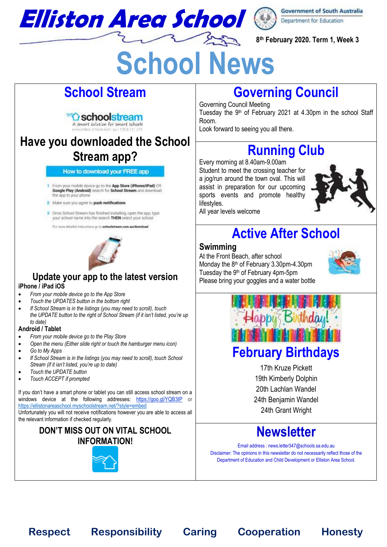

**8 th February 2020. Term 1, Week 3**

# **School News**

# **School Stream**

# ∆ schoolstream A smart solution for smart schools

# **Have you downloaded the School Stream app?**

#### How to download your FREE app

- From your mobile device go to the App Store (iPhone/iPad) OR Google Play (Android) search for School Stream and download the sop to your phone
- 2 Make sure you agree to push notifications
- 3 Once School Stream has finished installing, open the app, type your school name into the search THEN select your school

For more detailed instructions go to schoolstream.com.au/download



# **Update your app to the latest version**

#### **iPhone / iPad iOS**

- *From your mobile device go to the App Store*
- *Touch the UPDATES button in the bottom right*
- *If School Stream is in the listings (you may need to scroll), touch the UPDATE button to the right of School Stream (if it isn't listed, you're up to date)*

## **Android / Tablet**

- *From your mobile device go to the Play Store*
- *Open the menu (Either slide right or touch the hamburger menu icon)*
- *Go to My Apps*
- *If School Stream is in the listings (you may need to scroll), touch School Stream (if it isn't listed, you're up to date)*
- *Touch the UPDATE button*
- *Touch ACCEPT if prompted*

If you don't have a smart phone or tablet you can still access school stream on a windows device at the following addresses: <https://goo.gl/YQB3tP> or <https://ellistonareaschool.myschoolstream.net/?style=embed>

Unfortunately you will not receive notifications however you are able to access all the relevant information if checked regularly.

# **DON'T MISS OUT ON VITAL SCHOOL INFORMATION!**



# **Governing Council**

Governing Council Meeting Tuesday the 9th of February 2021 at 4.30pm in the school Staff Room.

Look forward to seeing you all there.

# **Running Club**

Every morning at 8.40am-9.00am Student to meet the crossing teacher for a jog/run around the town oval. This will assist in preparation for our upcoming sports events and promote healthy lifestyles. All year levels welcome



# **Active After School**

# **Swimming**

At the Front Beach, after school Monday the 8th of February 3.30pm-4.30pm Tuesday the 9<sup>th</sup> of February 4pm-5pm Please bring your goggles and a water bottle





# **February Birthdays**

17th Kruze Pickett 19th Kimberly Dolphin 20th Lachlan Wandel 24th Benjamin Wandel 24th Grant Wright

# **Newsletter**

Email address : news.letter347@schools.sa.edu.au Disclaimer: The opinions in this newsletter do not necessarily reflect those of the Department of Education and Child Development or Elliston Area School.

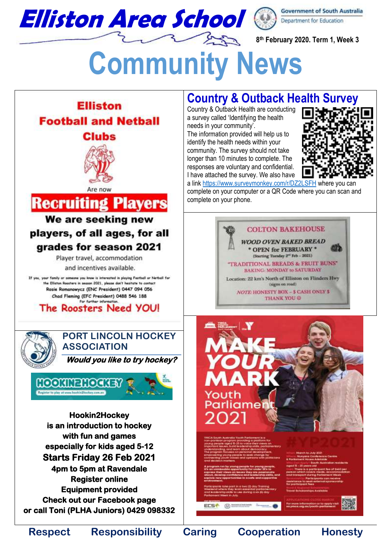

**8 th February 2020. Term 1, Week 3**

# **Community News**



**Country & Outback Health Survey**

Country & Outback Health are conducting a survey called 'Identifying the health needs in your community'. The information provided will help us to identify the health needs within your

community. The survey should not take longer than 10 minutes to complete. The responses are voluntary and confidential. I have attached the survey. We also have



a lin[k https://www.surveymonkey.com/r/DZ2LSFH](https://www.surveymonkey.com/r/DZ2LSFH) where you can complete on your computer or a QR Code where you can scan and complete on your phone.

# **COLTON BAKEHOUSE**

**WOOD OVEN BAKED BREAD** \* OPEN for FEBRUARY \* (Starting Tuesday 2<sup>nd</sup> Feb - 2021) TRADITIONAL BREADS & FRUIT BUNS" **BAKING: MONDAY to SATURDAY** Location: 22 km's North of Elliston on Flinders Hwy (signs on road) **NOTE HONESTY BOX - \$ CASH ONLY \$ THANK YOU @** 



(D) ESTRATOR *<u>Denver 6</u>* **ECSA**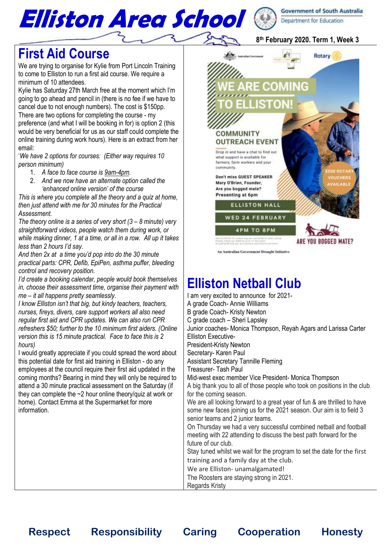

## **8 th February 2020. Term 1, Week 3**

# **First Aid Course**

We are trying to organise for Kylie from Port Lincoln Training to come to Elliston to run a first aid course. We require a minimum of 10 attendees.

Kylie has Saturday 27th March free at the moment which I'm going to go ahead and pencil in (there is no fee if we have to cancel due to not enough numbers). The cost is \$150pp. There are two options for completing the course - my preference (and what I will be booking in for) is option 2 (this would be very beneficial for us as our staff could complete the online training during work hours). Here is an extract from her email:

'*We have 2 options for courses: (Either way requires 10 person minimum)*

- 1. *A face to face course is [9am-4pm.](x-apple-data-detectors://2/)*
- 2. *And we now have an alternate option called the 'enhanced online version' of the course*

*This is where you complete all the theory and a quiz at home, then just attend with me for 30 minutes for the Practical Assessment.*

*The theory online is a series of very short (3 – 8 minute) very straightforward videos, people watch them during work, or while making dinner, 1 at a time, or all in a row. All up it takes less than 2 hours I'd say.*

*And then 2x at a time you'd pop into do the 30 minute practical parts: CPR, Defib, EpiPen, asthma puffer, bleeding control and recovery position.*

*I'd create a booking calendar, people would book themselves in, choose their assessment time, organise their payment with me – it all happens pretty seamlessly.*

*I know Elliston isn't that big, but kindy teachers, teachers, nurses, fireys, divers, care support workers all also need regular first aid and CPR updates. We can also run CPR refreshers \$50; further to the 10 minimum first aiders. (Online version this is 15 minute practical. Face to face this is 2 hours)*

I would greatly appreciate if you could spread the word about this potential date for first aid training in Elliston - do any employees at the council require their first aid updated in the coming months? Bearing in mind they will only be required to attend a 30 minute practical assessment on the Saturday (if they can complete the ~2 hour online theory/quiz at work or home). Contact Emma at the Supermarket for more information.



An Australian Government Drought Initiative

# **Elliston Netball Club**

I am very excited to announce for 2021- A grade Coach- Annie Williams B grade Coach- Kristy Newton C grade coach – Sheri Lapsley Junior coaches- Monica Thompson, Reyah Agars and Larissa Carter Elliston Executive-President-Kristy Newton Secretary- Karen Paul Assistant Secretary Tannille Fleming Treasurer- Tash Paul Mid-west exec member Vice President- Monica Thompson A big thank you to all of those people who took on positions in the club for the coming season. We are all looking forward to a great year of fun & are thrilled to have some new faces joining us for the 2021 season. Our aim is to field 3 senior teams and 2 junior teams. On Thursday we had a very successful combined netball and football meeting with 22 attending to discuss the best path forward for the future of our club. Stay tuned whilst we wait for the program to set the date for the first training and a family day at the club. We are Elliston- unamalgamated! The Roosters are staying strong in 2021. Regards Kristy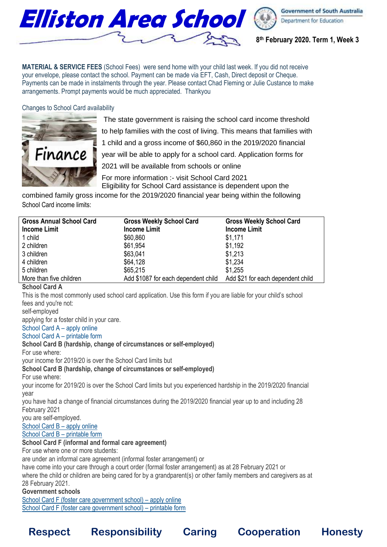

**8 th February 2020. Term 1, Week 3**

**MATERIAL & SERVICE FEES** (School Fees) were send home with your child last week. If you did not receive your envelope, please contact the school. Payment can be made via EFT, Cash, Direct deposit or Cheque. Payments can be made in instalments through the year. Please contact Chad Fleming or Julie Custance to make arrangements. Prompt payments would be much appreciated. Thankyou

Changes to School Card availability



The state government is raising the school card income threshold to help families with the cost of living. This means that families with 1 child and a gross income of \$60,860 in the 2019/2020 financial year will be able to apply for a school card. Application forms for 2021 will be available from schools or online

For more information :- visit School Card 2021 Eligibility for School Card assistance is dependent upon the

combined family gross income for the 2019/2020 financial year being within the following School Card income limits:

| <b>Gross Annual School Card</b> | <b>Gross Weekly School Card</b>     | <b>Gross Weekly School Card</b>   |
|---------------------------------|-------------------------------------|-----------------------------------|
| <b>Income Limit</b>             | <b>Income Limit</b>                 | <b>Income Limit</b>               |
| 1 child                         | \$60,860                            | \$1,171                           |
| 2 children                      | \$61,954                            | \$1,192                           |
| 3 children                      | \$63,041                            | \$1,213                           |
| 4 children                      | \$64,128                            | \$1,234                           |
| 5 children                      | \$65,215                            | \$1,255                           |
| More than five children         | Add \$1087 for each dependent child | Add \$21 for each dependent child |

## **School Card A**

This is the most commonly used school card application. Use this form if you are liable for your child's school fees and you're not:

self-employed

applying for a foster child in your care.

School Card A – apply online

School Card A – printable form

## **School Card B (hardship, change of circumstances or self-employed)**

For use where:

your income for 2019/20 is over the School Card limits but

## **School Card B (hardship, change of circumstances or self-employed)**

For use where:

 your income for 2019/20 is over the School Card limits but you experienced hardship in the 2019/2020 financial year

 you have had a change of financial circumstances during the 2019/2020 financial year up to and including 28 February 2021

you are self-employed.

## School Card B – apply online

School Card B – printable form

## **School Card F (informal and formal care agreement)**

For use where one or more students:

are under an informal care agreement (informal foster arrangement) or

 have come into your care through a court order (formal foster arrangement) as at 28 February 2021 or where the child or children are being cared for by a grandparent(s) or other family members and caregivers as at

28 February 2021.

#### **Government schools**

School Card F (foster care government school) – apply online School Card F (foster care government school) – printable form